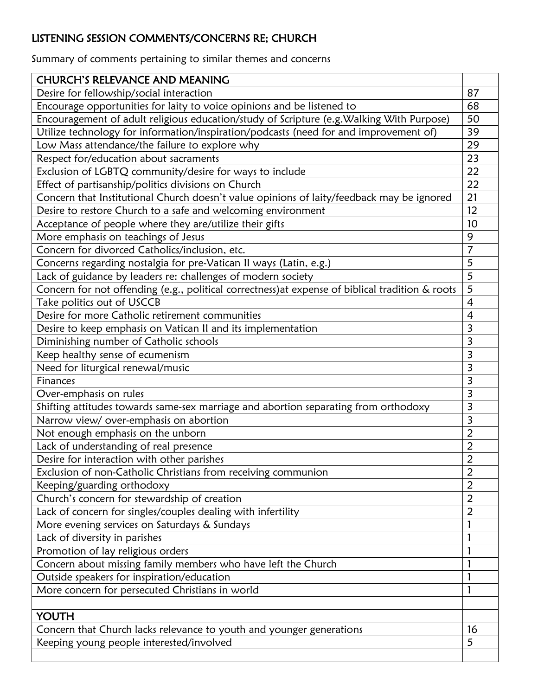## LISTENING SESSION COMMENTS/CONCERNS RE; CHURCH

Summary of comments pertaining to similar themes and concerns

| <b>CHURCH'S RELEVANCE AND MEANING</b>                                                            |                         |
|--------------------------------------------------------------------------------------------------|-------------------------|
| Desire for fellowship/social interaction                                                         | 87                      |
| Encourage opportunities for laity to voice opinions and be listened to                           | 68                      |
| Encouragement of adult religious education/study of Scripture (e.g. Walking With Purpose)        | 50                      |
| Utilize technology for information/inspiration/podcasts (need for and improvement of)            | 39                      |
| Low Mass attendance/the failure to explore why                                                   | 29                      |
| Respect for/education about sacraments                                                           | 23                      |
| Exclusion of LGBTQ community/desire for ways to include                                          | 22                      |
| Effect of partisanship/politics divisions on Church                                              | 22                      |
| Concern that Institutional Church doesn't value opinions of laity/feedback may be ignored        | 21                      |
| Desire to restore Church to a safe and welcoming environment                                     | 12                      |
| Acceptance of people where they are/utilize their gifts                                          | 10                      |
| More emphasis on teachings of Jesus                                                              | 9                       |
| Concern for divorced Catholics/inclusion, etc.                                                   | $\overline{7}$          |
| Concerns regarding nostalgia for pre-Vatican II ways (Latin, e.g.)                               | 5                       |
| Lack of guidance by leaders re: challenges of modern society                                     | 5                       |
| Concern for not offending (e.g., political correctness) at expense of biblical tradition & roots | 5                       |
| Take politics out of USCCB                                                                       | $\overline{4}$          |
| Desire for more Catholic retirement communities                                                  | $\overline{4}$          |
| Desire to keep emphasis on Vatican II and its implementation                                     | 3                       |
| Diminishing number of Catholic schools                                                           | 3                       |
| Keep healthy sense of ecumenism                                                                  | $\overline{3}$          |
| Need for liturgical renewal/music                                                                | 3                       |
| Finances                                                                                         | 3                       |
| Over-emphasis on rules                                                                           | $\overline{\mathbf{3}}$ |
| Shifting attitudes towards same-sex marriage and abortion separating from orthodoxy              | $\overline{3}$          |
| Narrow view/ over-emphasis on abortion                                                           | $\overline{\mathbf{3}}$ |
| Not enough emphasis on the unborn                                                                | $\overline{2}$          |
| Lack of understanding of real presence                                                           | $\overline{2}$          |
| Desire for interaction with other parishes                                                       | $\overline{2}$          |
| Exclusion of non-Catholic Christians from receiving communion                                    | $\overline{2}$          |
| Keeping/guarding orthodoxy                                                                       | $\overline{2}$          |
| Church's concern for stewardship of creation                                                     | $\overline{2}$          |
| Lack of concern for singles/couples dealing with infertility                                     | $\overline{2}$          |
| More evening services on Saturdays & Sundays                                                     | 1                       |
| Lack of diversity in parishes                                                                    | $\mathbf{1}$            |
| Promotion of lay religious orders                                                                | 1                       |
| Concern about missing family members who have left the Church                                    | $\mathbf{1}$            |
| Outside speakers for inspiration/education                                                       | $\mathbf{1}$            |
| More concern for persecuted Christians in world                                                  | $\mathbf{1}$            |
|                                                                                                  |                         |
| YOUTH                                                                                            |                         |
| Concern that Church lacks relevance to youth and younger generations                             | 16                      |
| Keeping young people interested/involved                                                         | 5                       |
|                                                                                                  |                         |